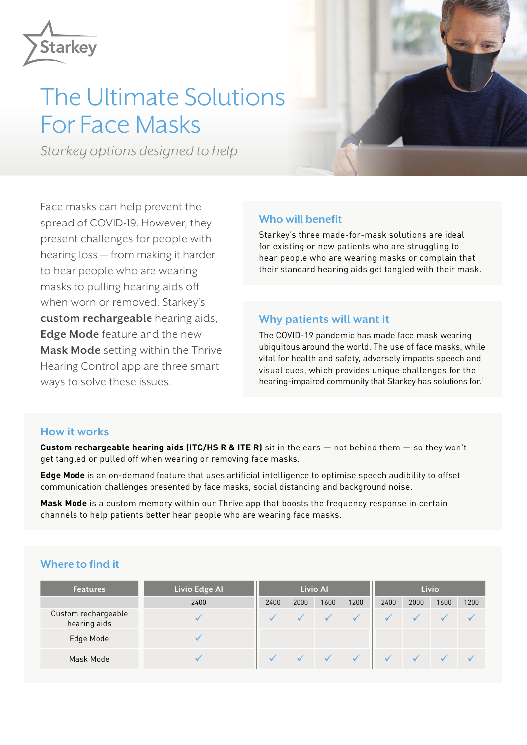

# The Ultimate Solutions For Face Masks

*Starkey options designed to help*

Face masks can help prevent the spread of COVID-19. However, they present challenges for people with hearing loss — from making it harder to hear people who are wearing masks to pulling hearing aids off when worn or removed. Starkey's **custom rechargeable** hearing aids, **Edge Mode** feature and the new **Mask Mode** setting within the Thrive Hearing Control app are three smart ways to solve these issues.

## **Who will benefit**

Starkey's three made-for-mask solutions are ideal for existing or new patients who are struggling to hear people who are wearing masks or complain that their standard hearing aids get tangled with their mask.

### **Why patients will want it**

The COVID-19 pandemic has made face mask wearing ubiquitous around the world. The use of face masks, while vital for health and safety, adversely impacts speech and visual cues, which provides unique challenges for the hearing-impaired community that Starkey has solutions for.<sup>1</sup>

### **How it works**

**Custom rechargeable hearing aids (ITC/HS R & ITE R)** sit in the ears — not behind them — so they won't get tangled or pulled off when wearing or removing face masks.

**Edge Mode** is an on-demand feature that uses artificial intelligence to optimise speech audibility to offset communication challenges presented by face masks, social distancing and background noise.

**Mask Mode** is a custom memory within our Thrive app that boosts the frequency response in certain channels to help patients better hear people who are wearing face masks.

# **Where to find it**

| <b>Features</b>                     | <b>Livio Edge Al</b> | <b>Livio Al</b> |      |      |      | <b>Livio</b> |      |      |      |
|-------------------------------------|----------------------|-----------------|------|------|------|--------------|------|------|------|
|                                     | 2400                 | 2400            | 2000 | 1600 | 1200 | 2400         | 2000 | 1600 | 1200 |
| Custom rechargeable<br>hearing aids |                      |                 |      |      |      |              |      |      |      |
| Edge Mode                           |                      |                 |      |      |      |              |      |      |      |
| Mask Mode                           |                      |                 |      |      |      |              |      |      |      |